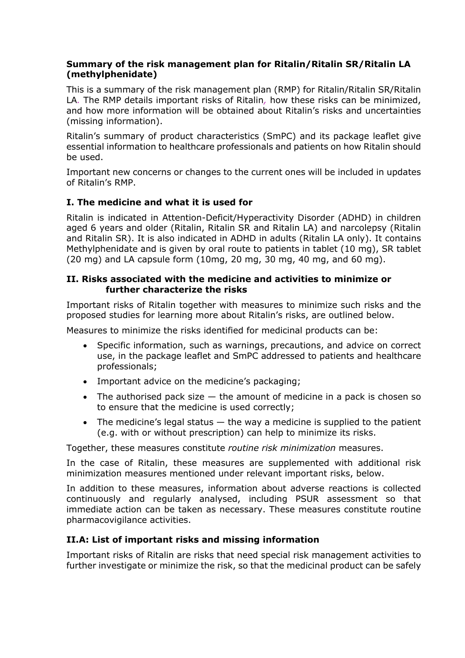### **Summary of the risk management plan for Ritalin/Ritalin SR/Ritalin LA (methylphenidate)**

This is a summary of the risk management plan (RMP) for Ritalin/Ritalin SR/Ritalin LA*.* The RMP details important risks of Ritalin*,* how these risks can be minimized, and how more information will be obtained about Ritalin's risks and uncertainties (missing information).

Ritalin's summary of product characteristics (SmPC) and its package leaflet give essential information to healthcare professionals and patients on how Ritalin should be used.

Important new concerns or changes to the current ones will be included in updates of Ritalin's RMP.

### **I. The medicine and what it is used for**

Ritalin is indicated in Attention-Deficit/Hyperactivity Disorder (ADHD) in children aged 6 years and older (Ritalin, Ritalin SR and Ritalin LA) and narcolepsy (Ritalin and Ritalin SR). It is also indicated in ADHD in adults (Ritalin LA only). It contains Methylphenidate and is given by oral route to patients in tablet (10 mg), SR tablet (20 mg) and LA capsule form (10mg, 20 mg, 30 mg, 40 mg, and 60 mg).

### **II. Risks associated with the medicine and activities to minimize or further characterize the risks**

Important risks of Ritalin together with measures to minimize such risks and the proposed studies for learning more about Ritalin's risks, are outlined below.

Measures to minimize the risks identified for medicinal products can be:

- Specific information, such as warnings, precautions, and advice on correct use, in the package leaflet and SmPC addressed to patients and healthcare professionals;
- Important advice on the medicine's packaging;
- $\bullet$  The authorised pack size  $-$  the amount of medicine in a pack is chosen so to ensure that the medicine is used correctly;
- The medicine's legal status  $-$  the way a medicine is supplied to the patient (e.g. with or without prescription) can help to minimize its risks.

Together, these measures constitute *routine risk minimization* measures.

In the case of Ritalin, these measures are supplemented with additional risk minimization measures mentioned under relevant important risks, below.

In addition to these measures, information about adverse reactions is collected continuously and regularly analysed, including PSUR assessment so that immediate action can be taken as necessary. These measures constitute routine pharmacovigilance activities.

### **II.A: List of important risks and missing information**

Important risks of Ritalin are risks that need special risk management activities to further investigate or minimize the risk, so that the medicinal product can be safely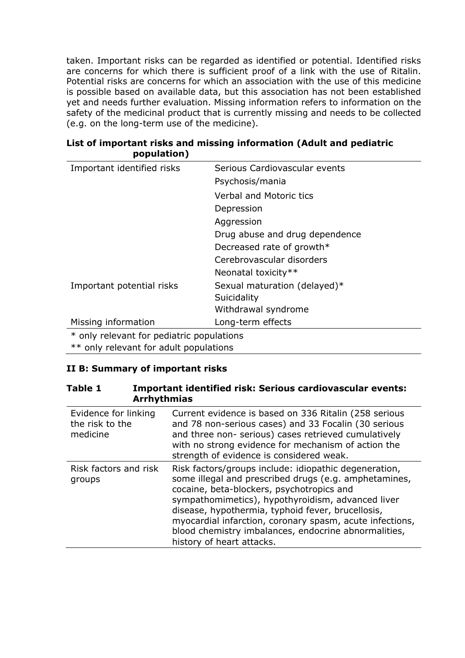taken. Important risks can be regarded as identified or potential. Identified risks are concerns for which there is sufficient proof of a link with the use of Ritalin. Potential risks are concerns for which an association with the use of this medicine is possible based on available data, but this association has not been established yet and needs further evaluation. Missing information refers to information on the safety of the medicinal product that is currently missing and needs to be collected (e.g. on the long-term use of the medicine).

| Important identified risks                | Serious Cardiovascular events  |
|-------------------------------------------|--------------------------------|
|                                           | Psychosis/mania                |
|                                           | <b>Verbal and Motoric tics</b> |
|                                           | Depression                     |
|                                           | Aggression                     |
|                                           | Drug abuse and drug dependence |
|                                           | Decreased rate of growth*      |
|                                           | Cerebrovascular disorders      |
|                                           | Neonatal toxicity**            |
| Important potential risks                 | Sexual maturation (delayed)*   |
|                                           | Suicidality                    |
|                                           | Withdrawal syndrome            |
| Missing information                       | Long-term effects              |
| * only relevant for pediatric populations |                                |
| ** only relevant for adult populations    |                                |

### **List of important risks and missing information (Adult and pediatric population)**

### **II B: Summary of important risks**

| <b>Table 1</b><br><b>Important identified risk: Serious cardiovascular events:</b><br><b>Arrhythmias</b> |  |                                                                                                                                                                                                                                                                                                                                                                                                                        |
|----------------------------------------------------------------------------------------------------------|--|------------------------------------------------------------------------------------------------------------------------------------------------------------------------------------------------------------------------------------------------------------------------------------------------------------------------------------------------------------------------------------------------------------------------|
| Evidence for linking<br>the risk to the<br>medicine                                                      |  | Current evidence is based on 336 Ritalin (258 serious<br>and 78 non-serious cases) and 33 Focalin (30 serious<br>and three non- serious) cases retrieved cumulatively<br>with no strong evidence for mechanism of action the<br>strength of evidence is considered weak.                                                                                                                                               |
| Risk factors and risk<br>groups                                                                          |  | Risk factors/groups include: idiopathic degeneration,<br>some illegal and prescribed drugs (e.g. amphetamines,<br>cocaine, beta-blockers, psychotropics and<br>sympathomimetics), hypothyroidism, advanced liver<br>disease, hypothermia, typhoid fever, brucellosis,<br>myocardial infarction, coronary spasm, acute infections,<br>blood chemistry imbalances, endocrine abnormalities,<br>history of heart attacks. |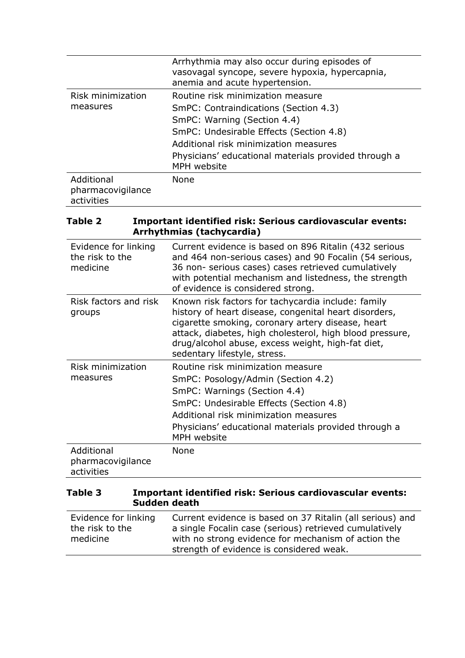|                                               | Arrhythmia may also occur during episodes of<br>vasovagal syncope, severe hypoxia, hypercapnia,<br>anemia and acute hypertension. |
|-----------------------------------------------|-----------------------------------------------------------------------------------------------------------------------------------|
| Risk minimization                             | Routine risk minimization measure                                                                                                 |
| measures                                      | SmPC: Contraindications (Section 4.3)                                                                                             |
|                                               | SmPC: Warning (Section 4.4)                                                                                                       |
|                                               | SmPC: Undesirable Effects (Section 4.8)                                                                                           |
|                                               | Additional risk minimization measures                                                                                             |
|                                               | Physicians' educational materials provided through a<br>MPH website                                                               |
| Additional<br>pharmacovigilance<br>activities | None                                                                                                                              |

### **Table 2 Important identified risk: Serious cardiovascular events: Arrhythmias (tachycardia)**

| Evidence for linking<br>the risk to the<br>medicine | Current evidence is based on 896 Ritalin (432 serious<br>and 464 non-serious cases) and 90 Focalin (54 serious,<br>36 non- serious cases) cases retrieved cumulatively<br>with potential mechanism and listedness, the strength<br>of evidence is considered strong.                                              |
|-----------------------------------------------------|-------------------------------------------------------------------------------------------------------------------------------------------------------------------------------------------------------------------------------------------------------------------------------------------------------------------|
| Risk factors and risk<br>groups                     | Known risk factors for tachycardia include: family<br>history of heart disease, congenital heart disorders,<br>cigarette smoking, coronary artery disease, heart<br>attack, diabetes, high cholesterol, high blood pressure,<br>drug/alcohol abuse, excess weight, high-fat diet,<br>sedentary lifestyle, stress. |
| Risk minimization                                   | Routine risk minimization measure                                                                                                                                                                                                                                                                                 |
| measures                                            | SmPC: Posology/Admin (Section 4.2)                                                                                                                                                                                                                                                                                |
|                                                     | SmPC: Warnings (Section 4.4)                                                                                                                                                                                                                                                                                      |
|                                                     | SmPC: Undesirable Effects (Section 4.8)                                                                                                                                                                                                                                                                           |
|                                                     | Additional risk minimization measures                                                                                                                                                                                                                                                                             |
|                                                     | Physicians' educational materials provided through a<br>MPH website                                                                                                                                                                                                                                               |
| Additional<br>pharmacovigilance<br>activities       | None                                                                                                                                                                                                                                                                                                              |

# **Table 3 Important identified risk: Serious cardiovascular events: Sudden death**

| Evidence for linking | Current evidence is based on 37 Ritalin (all serious) and |
|----------------------|-----------------------------------------------------------|
| the risk to the      | a single Focalin case (serious) retrieved cumulatively    |
| medicine             | with no strong evidence for mechanism of action the       |
|                      | strength of evidence is considered weak.                  |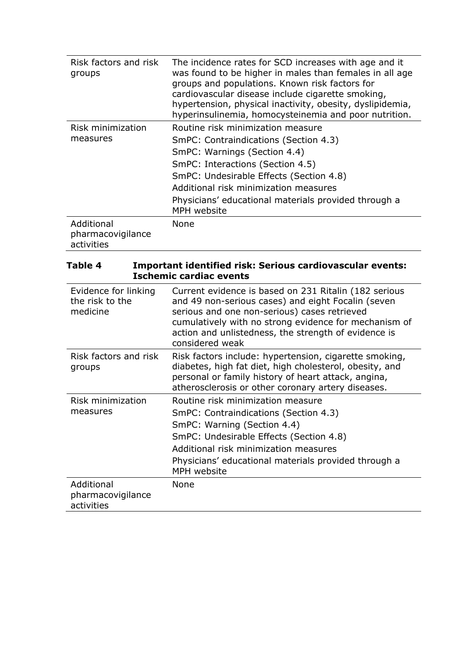| Risk factors and risk<br>groups               | The incidence rates for SCD increases with age and it<br>was found to be higher in males than females in all age<br>groups and populations. Known risk factors for<br>cardiovascular disease include cigarette smoking,<br>hypertension, physical inactivity, obesity, dyslipidemia,<br>hyperinsulinemia, homocysteinemia and poor nutrition. |
|-----------------------------------------------|-----------------------------------------------------------------------------------------------------------------------------------------------------------------------------------------------------------------------------------------------------------------------------------------------------------------------------------------------|
| Risk minimization                             | Routine risk minimization measure                                                                                                                                                                                                                                                                                                             |
| measures                                      | SmPC: Contraindications (Section 4.3)                                                                                                                                                                                                                                                                                                         |
|                                               | SmPC: Warnings (Section 4.4)                                                                                                                                                                                                                                                                                                                  |
|                                               | SmPC: Interactions (Section 4.5)                                                                                                                                                                                                                                                                                                              |
|                                               | SmPC: Undesirable Effects (Section 4.8)                                                                                                                                                                                                                                                                                                       |
|                                               | Additional risk minimization measures                                                                                                                                                                                                                                                                                                         |
|                                               | Physicians' educational materials provided through a<br>MPH website                                                                                                                                                                                                                                                                           |
| Additional<br>pharmacovigilance<br>activities | None                                                                                                                                                                                                                                                                                                                                          |

| Table 4                                             | Important identified risk: Serious cardiovascular events:<br><b>Ischemic cardiac events</b>                                                                                                                                                                                                     |
|-----------------------------------------------------|-------------------------------------------------------------------------------------------------------------------------------------------------------------------------------------------------------------------------------------------------------------------------------------------------|
| Evidence for linking<br>the risk to the<br>medicine | Current evidence is based on 231 Ritalin (182 serious<br>and 49 non-serious cases) and eight Focalin (seven<br>serious and one non-serious) cases retrieved<br>cumulatively with no strong evidence for mechanism of<br>action and unlistedness, the strength of evidence is<br>considered weak |
| Risk factors and risk<br>groups                     | Risk factors include: hypertension, cigarette smoking,<br>diabetes, high fat diet, high cholesterol, obesity, and<br>personal or family history of heart attack, angina,<br>atherosclerosis or other coronary artery diseases.                                                                  |
| Risk minimization<br>measures                       | Routine risk minimization measure<br>SmPC: Contraindications (Section 4.3)<br>SmPC: Warning (Section 4.4)<br>SmPC: Undesirable Effects (Section 4.8)<br>Additional risk minimization measures<br>Physicians' educational materials provided through a<br>MPH website                            |
| Additional<br>pharmacovigilance<br>activities       | None                                                                                                                                                                                                                                                                                            |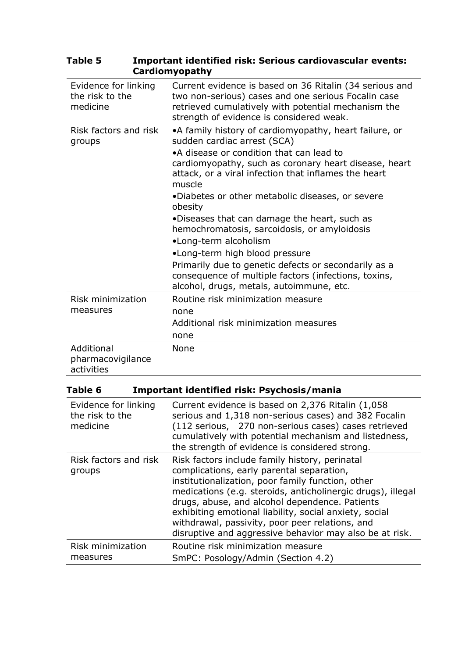| Evidence for linking<br>the risk to the<br>medicine | Current evidence is based on 36 Ritalin (34 serious and<br>two non-serious) cases and one serious Focalin case<br>retrieved cumulatively with potential mechanism the<br>strength of evidence is considered weak.                                                                                                                                                                                                                                                                                                                                                                                                                                  |
|-----------------------------------------------------|----------------------------------------------------------------------------------------------------------------------------------------------------------------------------------------------------------------------------------------------------------------------------------------------------------------------------------------------------------------------------------------------------------------------------------------------------------------------------------------------------------------------------------------------------------------------------------------------------------------------------------------------------|
| Risk factors and risk<br>groups                     | •A family history of cardiomyopathy, heart failure, or<br>sudden cardiac arrest (SCA)<br>•A disease or condition that can lead to<br>cardiomyopathy, such as coronary heart disease, heart<br>attack, or a viral infection that inflames the heart<br>muscle<br>•Diabetes or other metabolic diseases, or severe<br>obesity<br>•Diseases that can damage the heart, such as<br>hemochromatosis, sarcoidosis, or amyloidosis<br>•Long-term alcoholism<br>•Long-term high blood pressure<br>Primarily due to genetic defects or secondarily as a<br>consequence of multiple factors (infections, toxins,<br>alcohol, drugs, metals, autoimmune, etc. |
| Risk minimization<br>measures                       | Routine risk minimization measure<br>none<br>Additional risk minimization measures<br>none                                                                                                                                                                                                                                                                                                                                                                                                                                                                                                                                                         |
| Additional<br>pharmacovigilance<br>activities       | None                                                                                                                                                                                                                                                                                                                                                                                                                                                                                                                                                                                                                                               |

### **Table 5 Important identified risk: Serious cardiovascular events: Cardiomyopathy**

| Table 6 | Important identified risk: Psychosis/mania |
|---------|--------------------------------------------|
|         |                                            |

| Evidence for linking<br>the risk to the<br>medicine | Current evidence is based on 2,376 Ritalin (1,058)<br>serious and 1,318 non-serious cases) and 382 Focalin<br>(112 serious, 270 non-serious cases) cases retrieved<br>cumulatively with potential mechanism and listedness,<br>the strength of evidence is considered strong.                                                                                                                                                             |
|-----------------------------------------------------|-------------------------------------------------------------------------------------------------------------------------------------------------------------------------------------------------------------------------------------------------------------------------------------------------------------------------------------------------------------------------------------------------------------------------------------------|
| Risk factors and risk<br>groups                     | Risk factors include family history, perinatal<br>complications, early parental separation,<br>institutionalization, poor family function, other<br>medications (e.g. steroids, anticholinergic drugs), illegal<br>drugs, abuse, and alcohol dependence. Patients<br>exhibiting emotional liability, social anxiety, social<br>withdrawal, passivity, poor peer relations, and<br>disruptive and aggressive behavior may also be at risk. |
| Risk minimization<br>measures                       | Routine risk minimization measure<br>SmPC: Posology/Admin (Section 4.2)                                                                                                                                                                                                                                                                                                                                                                   |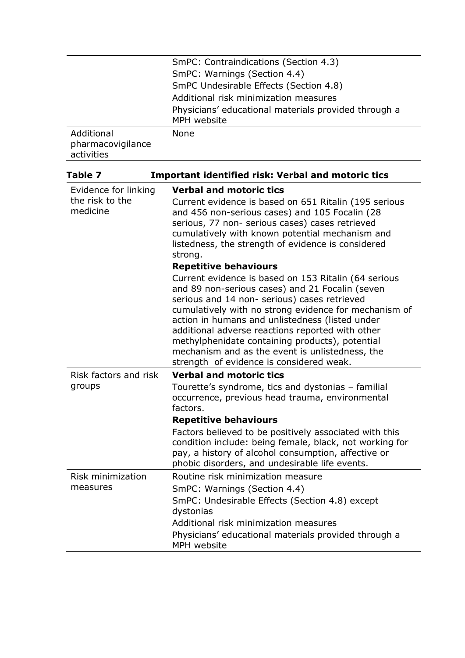|                                 | SmPC: Contraindications (Section 4.3)<br>SmPC: Warnings (Section 4.4)<br>SmPC Undesirable Effects (Section 4.8)<br>Additional risk minimization measures<br>Physicians' educational materials provided through a                                                                                                                                                                                                                                                          |
|---------------------------------|---------------------------------------------------------------------------------------------------------------------------------------------------------------------------------------------------------------------------------------------------------------------------------------------------------------------------------------------------------------------------------------------------------------------------------------------------------------------------|
| Additional<br>pharmacovigilance | MPH website<br>None                                                                                                                                                                                                                                                                                                                                                                                                                                                       |
| activities                      |                                                                                                                                                                                                                                                                                                                                                                                                                                                                           |
| Table 7                         | <b>Important identified risk: Verbal and motoric tics</b>                                                                                                                                                                                                                                                                                                                                                                                                                 |
| Evidence for linking            | <b>Verbal and motoric tics</b>                                                                                                                                                                                                                                                                                                                                                                                                                                            |
| the risk to the<br>medicine     | Current evidence is based on 651 Ritalin (195 serious<br>and 456 non-serious cases) and 105 Focalin (28<br>serious, 77 non- serious cases) cases retrieved<br>cumulatively with known potential mechanism and<br>listedness, the strength of evidence is considered<br>strong.                                                                                                                                                                                            |
|                                 | <b>Repetitive behaviours</b>                                                                                                                                                                                                                                                                                                                                                                                                                                              |
|                                 | Current evidence is based on 153 Ritalin (64 serious<br>and 89 non-serious cases) and 21 Focalin (seven<br>serious and 14 non- serious) cases retrieved<br>cumulatively with no strong evidence for mechanism of<br>action in humans and unlistedness (listed under<br>additional adverse reactions reported with other<br>methylphenidate containing products), potential<br>mechanism and as the event is unlistedness, the<br>strength of evidence is considered weak. |
| Risk factors and risk           | <b>Verbal and motoric tics</b>                                                                                                                                                                                                                                                                                                                                                                                                                                            |
| groups                          | Tourette's syndrome, tics and dystonias – familial<br>occurrence, previous head trauma, environmental<br>factors.                                                                                                                                                                                                                                                                                                                                                         |
|                                 | <b>Repetitive behaviours</b>                                                                                                                                                                                                                                                                                                                                                                                                                                              |
|                                 | Factors believed to be positively associated with this<br>condition include: being female, black, not working for<br>pay, a history of alcohol consumption, affective or<br>phobic disorders, and undesirable life events.                                                                                                                                                                                                                                                |
| Risk minimization               | Routine risk minimization measure                                                                                                                                                                                                                                                                                                                                                                                                                                         |
| measures                        | SmPC: Warnings (Section 4.4)                                                                                                                                                                                                                                                                                                                                                                                                                                              |
|                                 | SmPC: Undesirable Effects (Section 4.8) except<br>dystonias                                                                                                                                                                                                                                                                                                                                                                                                               |
|                                 | Additional risk minimization measures                                                                                                                                                                                                                                                                                                                                                                                                                                     |
|                                 | Physicians' educational materials provided through a<br>MPH website                                                                                                                                                                                                                                                                                                                                                                                                       |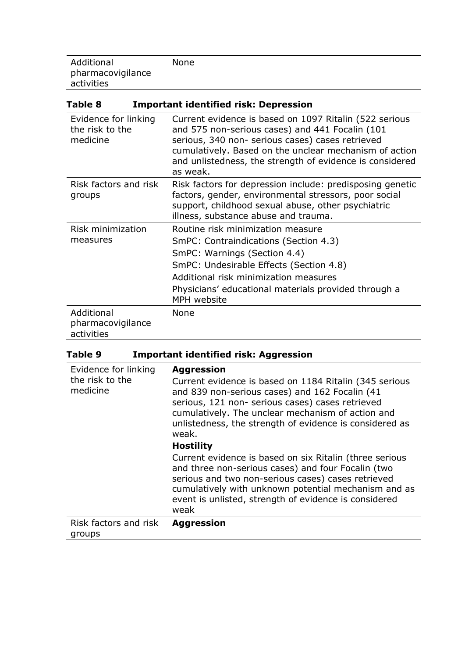Additional pharmacovigilance activities None

| Table 8                                             | <b>Important identified risk: Depression</b>                                                                                                                                                                                                                                                    |
|-----------------------------------------------------|-------------------------------------------------------------------------------------------------------------------------------------------------------------------------------------------------------------------------------------------------------------------------------------------------|
| Evidence for linking<br>the risk to the<br>medicine | Current evidence is based on 1097 Ritalin (522 serious<br>and 575 non-serious cases) and 441 Focalin (101<br>serious, 340 non- serious cases) cases retrieved<br>cumulatively. Based on the unclear mechanism of action<br>and unlistedness, the strength of evidence is considered<br>as weak. |
| Risk factors and risk<br>groups                     | Risk factors for depression include: predisposing genetic<br>factors, gender, environmental stressors, poor social<br>support, childhood sexual abuse, other psychiatric<br>illness, substance abuse and trauma.                                                                                |
| Risk minimization<br>measures                       | Routine risk minimization measure<br>SmPC: Contraindications (Section 4.3)<br>SmPC: Warnings (Section 4.4)<br>SmPC: Undesirable Effects (Section 4.8)<br>Additional risk minimization measures<br>Physicians' educational materials provided through a<br>MPH website                           |
| Additional<br>pharmacovigilance<br>activities       | None                                                                                                                                                                                                                                                                                            |

# **Table 9 Important identified risk: Aggression**

| Evidence for linking<br>the risk to the<br>medicine | <b>Aggression</b><br>Current evidence is based on 1184 Ritalin (345 serious<br>and 839 non-serious cases) and 162 Focalin (41<br>serious, 121 non- serious cases) cases retrieved<br>cumulatively. The unclear mechanism of action and<br>unlistedness, the strength of evidence is considered as<br>weak. |
|-----------------------------------------------------|------------------------------------------------------------------------------------------------------------------------------------------------------------------------------------------------------------------------------------------------------------------------------------------------------------|
|                                                     | <b>Hostility</b>                                                                                                                                                                                                                                                                                           |
|                                                     | Current evidence is based on six Ritalin (three serious<br>and three non-serious cases) and four Focalin (two<br>serious and two non-serious cases) cases retrieved<br>cumulatively with unknown potential mechanism and as<br>event is unlisted, strength of evidence is considered<br>weak               |
| Risk factors and risk<br>groups                     | <b>Aggression</b>                                                                                                                                                                                                                                                                                          |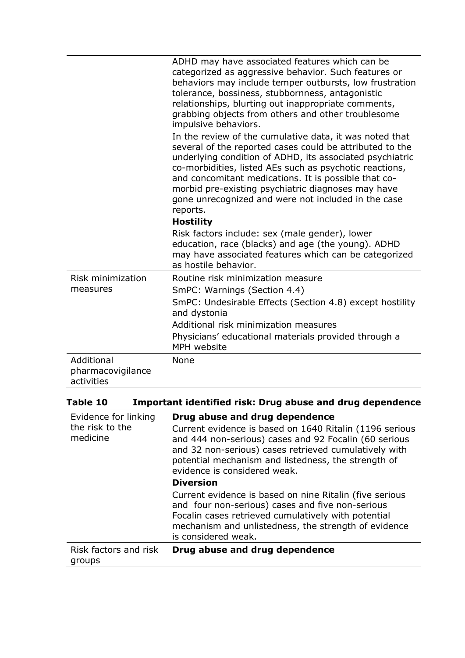|                                               | ADHD may have associated features which can be<br>categorized as aggressive behavior. Such features or<br>behaviors may include temper outbursts, low frustration<br>tolerance, bossiness, stubbornness, antagonistic<br>relationships, blurting out inappropriate comments,<br>grabbing objects from others and other troublesome<br>impulsive behaviors.<br>In the review of the cumulative data, it was noted that<br>several of the reported cases could be attributed to the<br>underlying condition of ADHD, its associated psychiatric<br>co-morbidities, listed AEs such as psychotic reactions,<br>and concomitant medications. It is possible that co-<br>morbid pre-existing psychiatric diagnoses may have<br>gone unrecognized and were not included in the case<br>reports.<br><b>Hostility</b><br>Risk factors include: sex (male gender), lower |
|-----------------------------------------------|-----------------------------------------------------------------------------------------------------------------------------------------------------------------------------------------------------------------------------------------------------------------------------------------------------------------------------------------------------------------------------------------------------------------------------------------------------------------------------------------------------------------------------------------------------------------------------------------------------------------------------------------------------------------------------------------------------------------------------------------------------------------------------------------------------------------------------------------------------------------|
|                                               | education, race (blacks) and age (the young). ADHD<br>may have associated features which can be categorized<br>as hostile behavior.                                                                                                                                                                                                                                                                                                                                                                                                                                                                                                                                                                                                                                                                                                                             |
| Risk minimization                             | Routine risk minimization measure                                                                                                                                                                                                                                                                                                                                                                                                                                                                                                                                                                                                                                                                                                                                                                                                                               |
| measures                                      | SmPC: Warnings (Section 4.4)<br>SmPC: Undesirable Effects (Section 4.8) except hostility                                                                                                                                                                                                                                                                                                                                                                                                                                                                                                                                                                                                                                                                                                                                                                        |
|                                               | and dystonia                                                                                                                                                                                                                                                                                                                                                                                                                                                                                                                                                                                                                                                                                                                                                                                                                                                    |
|                                               | Additional risk minimization measures                                                                                                                                                                                                                                                                                                                                                                                                                                                                                                                                                                                                                                                                                                                                                                                                                           |
|                                               | Physicians' educational materials provided through a<br>MPH website                                                                                                                                                                                                                                                                                                                                                                                                                                                                                                                                                                                                                                                                                                                                                                                             |
| Additional<br>pharmacovigilance<br>activities | None                                                                                                                                                                                                                                                                                                                                                                                                                                                                                                                                                                                                                                                                                                                                                                                                                                                            |

| Important identified risk: Drug abuse and drug dependence<br>Table 10 |
|-----------------------------------------------------------------------|
|-----------------------------------------------------------------------|

| Evidence for linking<br>the risk to the<br>medicine | Drug abuse and drug dependence<br>Current evidence is based on 1640 Ritalin (1196 serious<br>and 444 non-serious) cases and 92 Focalin (60 serious<br>and 32 non-serious) cases retrieved cumulatively with<br>potential mechanism and listedness, the strength of<br>evidence is considered weak. |
|-----------------------------------------------------|----------------------------------------------------------------------------------------------------------------------------------------------------------------------------------------------------------------------------------------------------------------------------------------------------|
|                                                     | <b>Diversion</b>                                                                                                                                                                                                                                                                                   |
|                                                     | Current evidence is based on nine Ritalin (five serious<br>and four non-serious) cases and five non-serious<br>Focalin cases retrieved cumulatively with potential<br>mechanism and unlistedness, the strength of evidence<br>is considered weak.                                                  |
| Risk factors and risk<br>groups                     | Drug abuse and drug dependence                                                                                                                                                                                                                                                                     |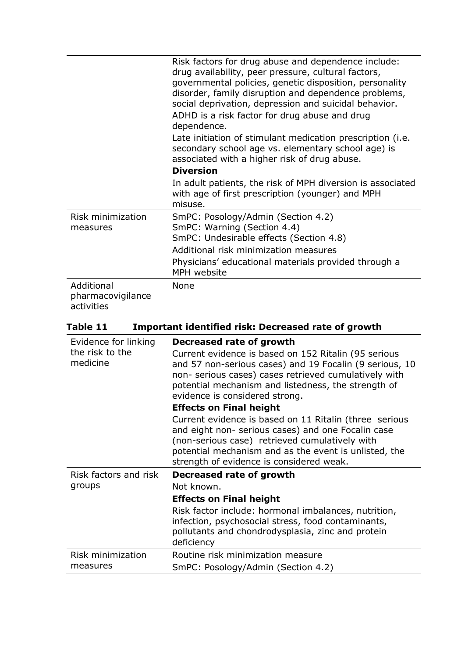|                                               | Risk factors for drug abuse and dependence include:<br>drug availability, peer pressure, cultural factors,<br>governmental policies, genetic disposition, personality<br>disorder, family disruption and dependence problems,<br>social deprivation, depression and suicidal behavior.<br>ADHD is a risk factor for drug abuse and drug<br>dependence. |
|-----------------------------------------------|--------------------------------------------------------------------------------------------------------------------------------------------------------------------------------------------------------------------------------------------------------------------------------------------------------------------------------------------------------|
|                                               | Late initiation of stimulant medication prescription (i.e.<br>secondary school age vs. elementary school age) is<br>associated with a higher risk of drug abuse.                                                                                                                                                                                       |
|                                               | <b>Diversion</b>                                                                                                                                                                                                                                                                                                                                       |
|                                               | In adult patients, the risk of MPH diversion is associated<br>with age of first prescription (younger) and MPH<br>misuse.                                                                                                                                                                                                                              |
| Risk minimization<br>measures                 | SmPC: Posology/Admin (Section 4.2)<br>SmPC: Warning (Section 4.4)<br>SmPC: Undesirable effects (Section 4.8)<br>Additional risk minimization measures<br>Physicians' educational materials provided through a<br>MPH website                                                                                                                           |
| Additional<br>pharmacovigilance<br>activities | None                                                                                                                                                                                                                                                                                                                                                   |

# **Table 11 Important identified risk: Decreased rate of growth**

| Evidence for linking<br>the risk to the<br>medicine | Decreased rate of growth<br>Current evidence is based on 152 Ritalin (95 serious<br>and 57 non-serious cases) and 19 Focalin (9 serious, 10<br>non- serious cases) cases retrieved cumulatively with<br>potential mechanism and listedness, the strength of<br>evidence is considered strong.<br><b>Effects on Final height</b><br>Current evidence is based on 11 Ritalin (three serious |
|-----------------------------------------------------|-------------------------------------------------------------------------------------------------------------------------------------------------------------------------------------------------------------------------------------------------------------------------------------------------------------------------------------------------------------------------------------------|
|                                                     | and eight non- serious cases) and one Focalin case<br>(non-serious case) retrieved cumulatively with<br>potential mechanism and as the event is unlisted, the<br>strength of evidence is considered weak.                                                                                                                                                                                 |
| Risk factors and risk                               | Decreased rate of growth                                                                                                                                                                                                                                                                                                                                                                  |
| groups                                              | Not known.                                                                                                                                                                                                                                                                                                                                                                                |
|                                                     | <b>Effects on Final height</b>                                                                                                                                                                                                                                                                                                                                                            |
|                                                     | Risk factor include: hormonal imbalances, nutrition,<br>infection, psychosocial stress, food contaminants,<br>pollutants and chondrodysplasia, zinc and protein<br>deficiency                                                                                                                                                                                                             |
| Risk minimization                                   | Routine risk minimization measure                                                                                                                                                                                                                                                                                                                                                         |
| measures                                            | SmPC: Posology/Admin (Section 4.2)                                                                                                                                                                                                                                                                                                                                                        |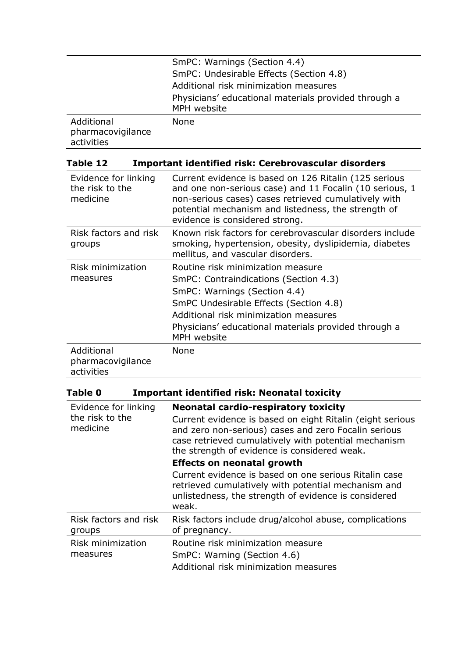|                                               | SmPC: Warnings (Section 4.4)                                        |
|-----------------------------------------------|---------------------------------------------------------------------|
|                                               | SmPC: Undesirable Effects (Section 4.8)                             |
|                                               | Additional risk minimization measures                               |
|                                               | Physicians' educational materials provided through a<br>MPH website |
| Additional<br>pharmacovigilance<br>activities | None                                                                |

| Table 12 | Important identified risk: Cerebrovascular disorders |
|----------|------------------------------------------------------|
|          |                                                      |

| Evidence for linking<br>the risk to the<br>medicine | Current evidence is based on 126 Ritalin (125 serious<br>and one non-serious case) and 11 Focalin (10 serious, 1<br>non-serious cases) cases retrieved cumulatively with<br>potential mechanism and listedness, the strength of<br>evidence is considered strong.    |
|-----------------------------------------------------|----------------------------------------------------------------------------------------------------------------------------------------------------------------------------------------------------------------------------------------------------------------------|
| Risk factors and risk<br>groups                     | Known risk factors for cerebrovascular disorders include<br>smoking, hypertension, obesity, dyslipidemia, diabetes<br>mellitus, and vascular disorders.                                                                                                              |
| Risk minimization<br>measures                       | Routine risk minimization measure<br>SmPC: Contraindications (Section 4.3)<br>SmPC: Warnings (Section 4.4)<br>SmPC Undesirable Effects (Section 4.8)<br>Additional risk minimization measures<br>Physicians' educational materials provided through a<br>MPH website |
| Additional<br>pharmacovigilance<br>activities       | None                                                                                                                                                                                                                                                                 |

| <b>Important identified risk: Neonatal toxicity</b><br><b>Table 0</b> |                                                                                                                                                                               |
|-----------------------------------------------------------------------|-------------------------------------------------------------------------------------------------------------------------------------------------------------------------------|
| Evidence for linking<br>the risk to the<br>medicine                   | <b>Neonatal cardio-respiratory toxicity</b><br>Current evidence is based on eight Ritalin (eight serious                                                                      |
|                                                                       | and zero non-serious) cases and zero Focalin serious<br>case retrieved cumulatively with potential mechanism<br>the strength of evidence is considered weak.                  |
|                                                                       | <b>Effects on neonatal growth</b>                                                                                                                                             |
|                                                                       | Current evidence is based on one serious Ritalin case<br>retrieved cumulatively with potential mechanism and<br>unlistedness, the strength of evidence is considered<br>weak. |
| Risk factors and risk<br>groups                                       | Risk factors include drug/alcohol abuse, complications<br>of pregnancy.                                                                                                       |
| Risk minimization<br>measures                                         | Routine risk minimization measure                                                                                                                                             |
|                                                                       | SmPC: Warning (Section 4.6)                                                                                                                                                   |
|                                                                       | Additional risk minimization measures                                                                                                                                         |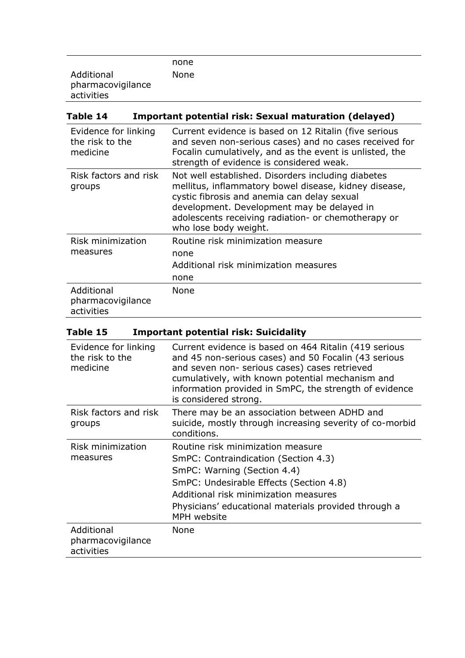|                   | none |  |
|-------------------|------|--|
| Additional        | None |  |
| pharmacovigilance |      |  |
| activities        |      |  |

| Table 14                                            | <b>Important potential risk: Sexual maturation (delayed)</b>                                                                                                                                                                                                                             |
|-----------------------------------------------------|------------------------------------------------------------------------------------------------------------------------------------------------------------------------------------------------------------------------------------------------------------------------------------------|
| Evidence for linking<br>the risk to the<br>medicine | Current evidence is based on 12 Ritalin (five serious<br>and seven non-serious cases) and no cases received for<br>Focalin cumulatively, and as the event is unlisted, the<br>strength of evidence is considered weak.                                                                   |
| Risk factors and risk<br>groups                     | Not well established. Disorders including diabetes<br>mellitus, inflammatory bowel disease, kidney disease,<br>cystic fibrosis and anemia can delay sexual<br>development. Development may be delayed in<br>adolescents receiving radiation- or chemotherapy or<br>who lose body weight. |
| Risk minimization<br>measures                       | Routine risk minimization measure<br>none<br>Additional risk minimization measures<br>none                                                                                                                                                                                               |
| Additional<br>pharmacovigilance<br>activities       | <b>None</b>                                                                                                                                                                                                                                                                              |

| Table 15 | <b>Important potential risk: Suicidality</b> |  |  |  |  |
|----------|----------------------------------------------|--|--|--|--|
|----------|----------------------------------------------|--|--|--|--|

| Evidence for linking<br>the risk to the<br>medicine | Current evidence is based on 464 Ritalin (419 serious<br>and 45 non-serious cases) and 50 Focalin (43 serious<br>and seven non- serious cases) cases retrieved<br>cumulatively, with known potential mechanism and<br>information provided in SmPC, the strength of evidence<br>is considered strong. |
|-----------------------------------------------------|-------------------------------------------------------------------------------------------------------------------------------------------------------------------------------------------------------------------------------------------------------------------------------------------------------|
| Risk factors and risk<br>groups                     | There may be an association between ADHD and<br>suicide, mostly through increasing severity of co-morbid<br>conditions.                                                                                                                                                                               |
| Risk minimization<br>measures                       | Routine risk minimization measure<br>SmPC: Contraindication (Section 4.3)<br>SmPC: Warning (Section 4.4)<br>SmPC: Undesirable Effects (Section 4.8)<br>Additional risk minimization measures<br>Physicians' educational materials provided through a<br>MPH website                                   |
| Additional<br>pharmacovigilance<br>activities       | None                                                                                                                                                                                                                                                                                                  |